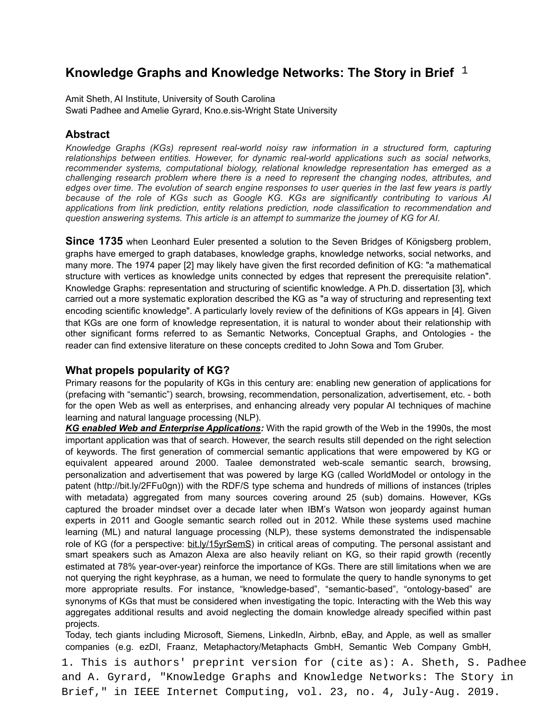# **Knowledge Graphs and Knowledge Networks: The Story in Brief**

Amit Sheth, AI Institute, University of South Carolina Swati Padhee and Amelie Gyrard, Kno.e.sis-Wright State University

## **Abstract**

*Knowledge Graphs (KGs) represent real-world noisy raw information in a structured form, capturing relationships between entities. However, for dynamic real-world applications such as social networks, recommender systems, computational biology, relational knowledge representation has emerged as a challenging research problem where there is a need to represent the changing nodes, attributes, and edges over time. The evolution of search engine responses to user queries in the last few years is partly because of the role of KGs such as Google KG. KGs are significantly contributing to various AI applications from link prediction, entity relations prediction, node classification to recommendation and question answering systems. This article is an attempt to summarize the journey of KG for AI.* 

**Since 1735** when Leonhard Euler presented a solution to the Seven Bridges of Königsberg problem, graphs have emerged to graph databases, knowledge graphs, knowledge networks, social networks, and many more. The 1974 paper [2] may likely have given the first recorded definition of KG: "a mathematical structure with vertices as knowledge units connected by edges that represent the prerequisite relation". Knowledge Graphs: representation and structuring of scientific knowledge. A Ph.D. dissertation [3], which carried out a more systematic exploration described the KG as "a way of structuring and representing text encoding scientific knowledge". A particularly lovely review of the definitions of KGs appears in [4]. Given that KGs are one form of knowledge representation, it is natural to wonder about their relationship with other significant forms referred to as Semantic Networks, Conceptual Graphs, and Ontologies - the reader can find extensive literature on these concepts credited to John Sowa and Tom Gruber.

## **What propels popularity of KG?**

Primary reasons for the popularity of KGs in this century are: enabling new generation of applications for (prefacing with "semantic") search, browsing, recommendation, personalization, advertisement, etc. - both for the open Web as well as enterprises, and enhancing already very popular AI techniques of machine learning and natural language processing (NLP).

*KG enabled Web and Enterprise Applications:* With the rapid growth of the Web in the 1990s, the most important application was that of search. However, the search results still depended on the right selection of keywords. The first generation of commercial semantic applications that were empowered by KG or equivalent appeared around 2000. Taalee demonstrated web-scale semantic search, browsing, personalization and advertisement that was powered by large KG (called WorldModel or ontology in the patent (http://bit.ly/2FFu0gn)) with the RDF/S type schema and hundreds of millions of instances (triples with metadata) aggregated from many sources covering around 25 (sub) domains. However, KGs captured the broader mindset over a decade later when IBM's Watson won jeopardy against human experts in 2011 and Google semantic search rolled out in 2012. While these systems used machine learning (ML) and natural language processing (NLP), these systems demonstrated the indispensable role of KG (for a perspective: bit.ly/15yrSemS) in critical areas of computing. The personal assistant and smart speakers such as Amazon Alexa are also heavily reliant on KG, so their rapid growth (recently estimated at 78% year-over-year) reinforce the importance of KGs. There are still limitations when we are not querying the right keyphrase, as a human, we need to formulate the query to handle synonyms to get more appropriate results. For instance, "knowledge-based", "semantic-based", "ontology-based" are synonyms of KGs that must be considered when investigating the topic. Interacting with the Web this way aggregates additional results and avoid neglecting the domain knowledge already specified within past projects. **Knowledge Graphs and Knowledge Networks: The Story in Brief<sup>1</sup><br>Amil Brief, Alitetian, University of South Cambina, South Cambina, South Cambina, South Cambina, 2019.<br>
And The District Computing Computer Computing State C** 

Today, tech giants including Microsoft, Siemens, LinkedIn, Airbnb, eBay, and Apple, as well as smaller companies (e.g. ezDI, Fraanz, Metaphactory/Metaphacts GmbH, Semantic Web Company GmbH,

1. This is authors' preprint version for (cite as): A. Sheth, S. Padhee and A. Gyrard, "Knowledge Graphs and Knowledge Networks: The Story in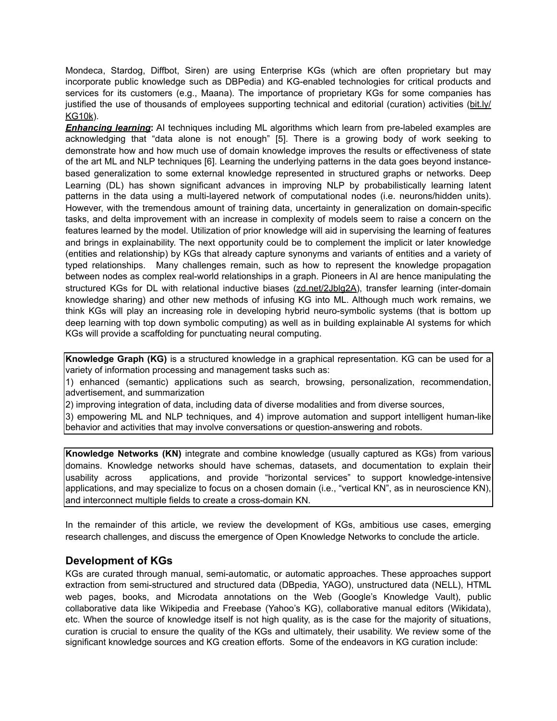Mondeca, Stardog, Diffbot, Siren) are using Enterprise KGs (which are often proprietary but may incorporate public knowledge such as DBPedia) and KG-enabled technologies for critical products and services for its customers (e.g., Maana). The importance of proprietary KGs for some companies has justified the use of thousands of employees supporting technical and editorial (curation) activities ([bit.ly/](http://bit.ly/KG10k) [KG10k\)](http://bit.ly/KG10k).

*Enhancing learning***:** AI techniques including ML algorithms which learn from pre-labeled examples are acknowledging that "data alone is not enough" [5]. There is a growing body of work seeking to demonstrate how and how much use of domain knowledge improves the results or effectiveness of state of the art ML and NLP techniques [6]. Learning the underlying patterns in the data goes beyond instancebased generalization to some external knowledge represented in structured graphs or networks. Deep Learning (DL) has shown significant advances in improving NLP by probabilistically learning latent patterns in the data using a multi-layered network of computational nodes (i.e. neurons/hidden units). However, with the tremendous amount of training data, uncertainty in generalization on domain-specific tasks, and delta improvement with an increase in complexity of models seem to raise a concern on the features learned by the model. Utilization of prior knowledge will aid in supervising the learning of features and brings in explainability. The next opportunity could be to complement the implicit or later knowledge (entities and relationship) by KGs that already capture synonyms and variants of entities and a variety of typed relationships. Many challenges remain, such as how to represent the knowledge propagation between nodes as complex real-world relationships in a graph. Pioneers in AI are hence manipulating the structured KGs for DL with relational inductive biases ([zd.net/2Jblg2A](https://zd.net/2Jblg2A)), transfer learning (inter-domain knowledge sharing) and other new methods of infusing KG into ML. Although much work remains, we think KGs will play an increasing role in developing hybrid neuro-symbolic systems (that is bottom up deep learning with top down symbolic computing) as well as in building explainable AI systems for which KGs will provide a scaffolding for punctuating neural computing.

**Knowledge Graph (KG)** is a structured knowledge in a graphical representation. KG can be used for a variety of information processing and management tasks such as:

1) enhanced (semantic) applications such as search, browsing, personalization, recommendation, advertisement, and summarization

2) improving integration of data, including data of diverse modalities and from diverse sources,

3) empowering ML and NLP techniques, and 4) improve automation and support intelligent human-like behavior and activities that may involve conversations or question-answering and robots.

**Knowledge Networks (KN)** integrate and combine knowledge (usually captured as KGs) from various domains. Knowledge networks should have schemas, datasets, and documentation to explain their usability across applications, and provide "horizontal services" to support knowledge-intensive applications, and may specialize to focus on a chosen domain (i.e., "vertical KN", as in neuroscience KN), and interconnect multiple fields to create a cross-domain KN.

In the remainder of this article, we review the development of KGs, ambitious use cases, emerging research challenges, and discuss the emergence of Open Knowledge Networks to conclude the article.

## **Development of KGs**

KGs are curated through manual, semi-automatic, or automatic approaches. These approaches support extraction from semi-structured and structured data (DBpedia, YAGO), unstructured data (NELL), HTML web pages, books, and Microdata annotations on the Web (Google's Knowledge Vault), public collaborative data like Wikipedia and Freebase (Yahoo's KG), collaborative manual editors (Wikidata), etc. When the source of knowledge itself is not high quality, as is the case for the majority of situations, curation is crucial to ensure the quality of the KGs and ultimately, their usability. We review some of the significant knowledge sources and KG creation efforts. Some of the endeavors in KG curation include: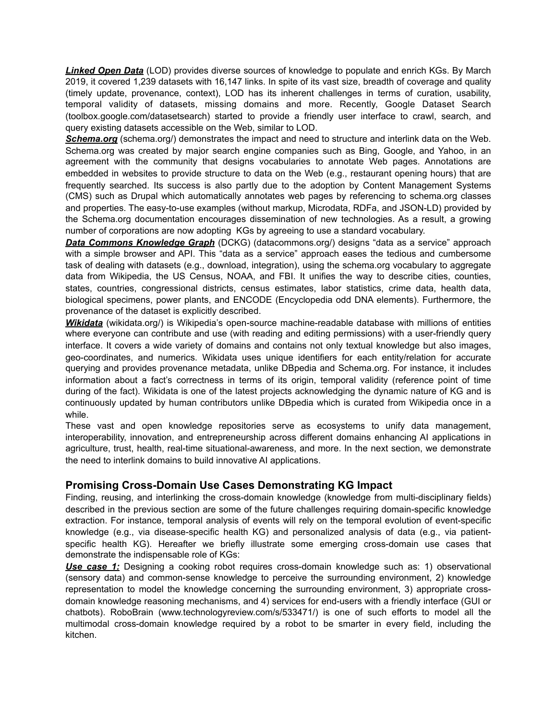*Linked Open Data* (LOD) provides diverse sources of knowledge to populate and enrich KGs. By March 2019, it covered 1,239 datasets with 16,147 links. In spite of its vast size, breadth of coverage and quality (timely update, provenance, context), LOD has its inherent challenges in terms of curation, usability, temporal validity of datasets, missing domains and more. Recently, Google Dataset Search (toolbox.google.com/datasetsearch) started to provide a friendly user interface to crawl, search, and query existing datasets accessible on the Web, similar to LOD.

**Schema.org** (schema.org/) demonstrates the impact and need to structure and interlink data on the Web. Schema.org was created by major search engine companies such as Bing, Google, and Yahoo, in an agreement with the community that designs vocabularies to annotate Web pages. Annotations are embedded in websites to provide structure to data on the Web (e.g., restaurant opening hours) that are frequently searched. Its success is also partly due to the adoption by Content Management Systems (CMS) such as Drupal which automatically annotates web pages by referencing to schema.org classes and properties. The easy-to-use examples (without markup, Microdata, RDFa, and JSON-LD) provided by the Schema.org documentation encourages dissemination of new technologies. As a result, a growing number of corporations are now adopting KGs by agreeing to use a standard vocabulary.

**Data Commons Knowledge Graph** (DCKG) (datacommons.org/) designs "data as a service" approach with a simple browser and API. This "data as a service" approach eases the tedious and cumbersome task of dealing with datasets (e.g., download, integration), using the schema.org vocabulary to aggregate data from Wikipedia, the US Census, NOAA, and FBI. It unifies the way to describe cities, counties, states, countries, congressional districts, census estimates, labor statistics, crime data, health data, biological specimens, power plants, and ENCODE (Encyclopedia odd DNA elements). Furthermore, the provenance of the dataset is explicitly described.

**Wikidata** (wikidata.org/) is Wikipedia's open-source machine-readable database with millions of entities where everyone can contribute and use (with reading and editing permissions) with a user-friendly query interface. It covers a wide variety of domains and contains not only textual knowledge but also images, geo-coordinates, and numerics. Wikidata uses unique identifiers for each entity/relation for accurate querying and provides provenance metadata, unlike DBpedia and Schema.org. For instance, it includes information about a fact's correctness in terms of its origin, temporal validity (reference point of time during of the fact). Wikidata is one of the latest projects acknowledging the dynamic nature of KG and is continuously updated by human contributors unlike DBpedia which is curated from Wikipedia once in a while.

These vast and open knowledge repositories serve as ecosystems to unify data management, interoperability, innovation, and entrepreneurship across different domains enhancing AI applications in agriculture, trust, health, real-time situational-awareness, and more. In the next section, we demonstrate the need to interlink domains to build innovative AI applications.

# **Promising Cross-Domain Use Cases Demonstrating KG Impact**

Finding, reusing, and interlinking the cross-domain knowledge (knowledge from multi-disciplinary fields) described in the previous section are some of the future challenges requiring domain-specific knowledge extraction. For instance, temporal analysis of events will rely on the temporal evolution of event-specific knowledge (e.g., via disease-specific health KG) and personalized analysis of data (e.g., via patientspecific health KG). Hereafter we briefly illustrate some emerging cross-domain use cases that demonstrate the indispensable role of KGs:

**Use case 1:** Designing a cooking robot requires cross-domain knowledge such as: 1) observational (sensory data) and common-sense knowledge to perceive the surrounding environment, 2) knowledge representation to model the knowledge concerning the surrounding environment, 3) appropriate crossdomain knowledge reasoning mechanisms, and 4) services for end-users with a friendly interface (GUI or chatbots). RoboBrain (www.technologyreview.com/s/533471/) is one of such efforts to model all the multimodal cross-domain knowledge required by a robot to be smarter in every field, including the kitchen.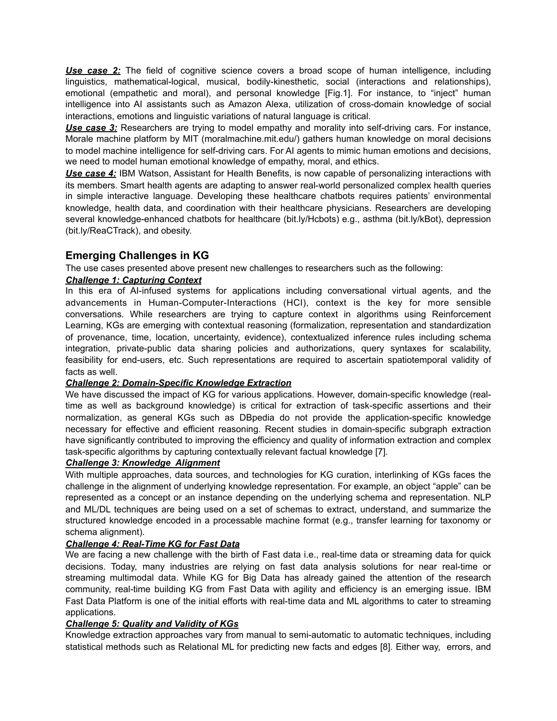*Use case 2:* The field of cognitive science covers a broad scope of human intelligence, including linguistics, mathematical-logical, musical, bodily-kinesthetic, social (interactions and relationships), emotional (empathetic and moral), and personal knowledge [Fig.1]. For instance, to "inject" human intelligence into AI assistants such as Amazon Alexa, utilization of cross-domain knowledge of social interactions, emotions and linguistic variations of natural language is critical.

**Use case 3:** Researchers are trying to model empathy and morality into self-driving cars. For instance, Morale machine platform by MIT (moralmachine.mit.edu/) gathers human knowledge on moral decisions to model machine intelligence for self-driving cars. For AI agents to mimic human emotions and decisions, we need to model human emotional knowledge of empathy, moral, and ethics.

*Use case 4:* IBM Watson, Assistant for Health Benefits, is now capable of personalizing interactions with its members. Smart health agents are adapting to answer real-world personalized complex health queries in simple interactive language. Developing these healthcare chatbots requires patients' environmental knowledge, health data, and coordination with their healthcare physicians. Researchers are developing several knowledge-enhanced chatbots for healthcare (bit.ly/Hcbots) e.g., asthma (bit.ly/kBot), depression (bit.ly/ReaCTrack), and obesity.

# **Emerging Challenges in KG**

The use cases presented above present new challenges to researchers such as the following:

#### *Challenge 1: Capturing Context*

In this era of AI-infused systems for applications including conversational virtual agents, and the advancements in Human-Computer-Interactions (HCI), context is the key for more sensible conversations. While researchers are trying to capture context in algorithms using Reinforcement Learning, KGs are emerging with contextual reasoning (formalization, representation and standardization of provenance, time, location, uncertainty, evidence), contextualized inference rules including schema integration, private-public data sharing policies and authorizations, query syntaxes for scalability, feasibility for end-users, etc. Such representations are required to ascertain spatiotemporal validity of facts as well.

#### *Challenge 2: Domain-Specific Knowledge Extraction*

We have discussed the impact of KG for various applications. However, domain-specific knowledge (realtime as well as background knowledge) is critical for extraction of task-specific assertions and their normalization, as general KGs such as DBpedia do not provide the application-specific knowledge necessary for effective and efficient reasoning. Recent studies in domain-specific subgraph extraction have significantly contributed to improving the efficiency and quality of information extraction and complex task-specific algorithms by capturing contextually relevant factual knowledge [7].

#### *Challenge 3: Knowledge Alignment*

With multiple approaches, data sources, and technologies for KG curation, interlinking of KGs faces the challenge in the alignment of underlying knowledge representation. For example, an object "apple" can be represented as a concept or an instance depending on the underlying schema and representation. NLP and ML/DL techniques are being used on a set of schemas to extract, understand, and summarize the structured knowledge encoded in a processable machine format (e.g., transfer learning for taxonomy or schema alignment).

#### *Challenge 4: Real-Time KG for Fast Data*

We are facing a new challenge with the birth of Fast data i.e., real-time data or streaming data for quick decisions. Today, many industries are relying on fast data analysis solutions for near real-time or streaming multimodal data. While KG for Big Data has already gained the attention of the research community, real-time building KG from Fast Data with agility and efficiency is an emerging issue. IBM Fast Data Platform is one of the initial efforts with real-time data and ML algorithms to cater to streaming applications.

#### *Challenge 5: Quality and Validity of KGs*

Knowledge extraction approaches vary from manual to semi-automatic to automatic techniques, including statistical methods such as Relational ML for predicting new facts and edges [8]. Either way, errors, and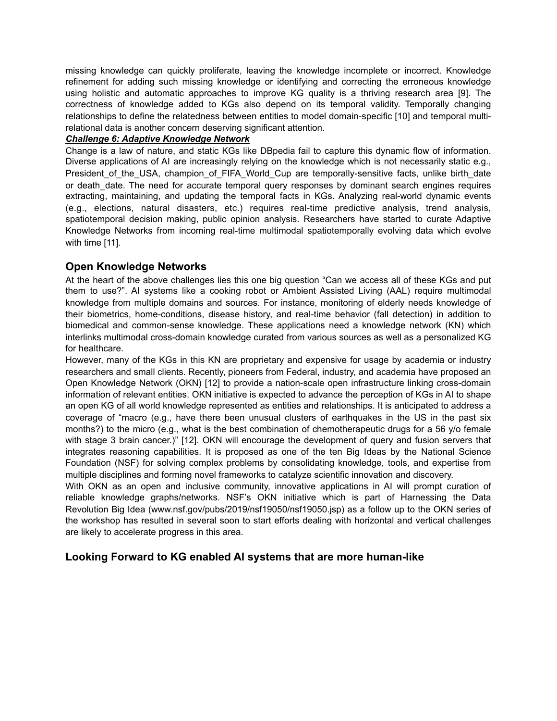missing knowledge can quickly proliferate, leaving the knowledge incomplete or incorrect. Knowledge refinement for adding such missing knowledge or identifying and correcting the erroneous knowledge using holistic and automatic approaches to improve KG quality is a thriving research area [9]. The correctness of knowledge added to KGs also depend on its temporal validity. Temporally changing relationships to define the relatedness between entities to model domain-specific [10] and temporal multirelational data is another concern deserving significant attention.

#### *Challenge 6: Adaptive Knowledge Network*

Change is a law of nature, and static KGs like DBpedia fail to capture this dynamic flow of information. Diverse applications of AI are increasingly relying on the knowledge which is not necessarily static e.g., President of the USA, champion of FIFA World Cup are temporally-sensitive facts, unlike birth date or death date. The need for accurate temporal query responses by dominant search engines requires extracting, maintaining, and updating the temporal facts in KGs. Analyzing real-world dynamic events (e.g., elections, natural disasters, etc.) requires real-time predictive analysis, trend analysis, spatiotemporal decision making, public opinion analysis. Researchers have started to curate Adaptive Knowledge Networks from incoming real-time multimodal spatiotemporally evolving data which evolve with time [11].

## **Open Knowledge Networks**

At the heart of the above challenges lies this one big question "Can we access all of these KGs and put them to use?". AI systems like a cooking robot or Ambient Assisted Living (AAL) require multimodal knowledge from multiple domains and sources. For instance, monitoring of elderly needs knowledge of their biometrics, home-conditions, disease history, and real-time behavior (fall detection) in addition to biomedical and common-sense knowledge. These applications need a knowledge network (KN) which interlinks multimodal cross-domain knowledge curated from various sources as well as a personalized KG for healthcare.

However, many of the KGs in this KN are proprietary and expensive for usage by academia or industry researchers and small clients. Recently, pioneers from Federal, industry, and academia have proposed an Open Knowledge Network (OKN) [12] to provide a nation-scale open infrastructure linking cross-domain information of relevant entities. OKN initiative is expected to advance the perception of KGs in AI to shape an open KG of all world knowledge represented as entities and relationships. It is anticipated to address a coverage of "macro (e.g., have there been unusual clusters of earthquakes in the US in the past six months?) to the micro (e.g., what is the best combination of chemotherapeutic drugs for a 56 y/o female with stage 3 brain cancer.)" [12]. OKN will encourage the development of query and fusion servers that integrates reasoning capabilities. It is proposed as one of the ten Big Ideas by the National Science Foundation (NSF) for solving complex problems by consolidating knowledge, tools, and expertise from multiple disciplines and forming novel frameworks to catalyze scientific innovation and discovery.

With OKN as an open and inclusive community, innovative applications in AI will prompt curation of reliable knowledge graphs/networks. NSF's OKN initiative which is part of Harnessing the Data Revolution Big Idea (www.nsf.gov/pubs/2019/nsf19050/nsf19050.jsp) as a follow up to the OKN series of the workshop has resulted in several soon to start efforts dealing with horizontal and vertical challenges are likely to accelerate progress in this area.

## **Looking Forward to KG enabled AI systems that are more human-like**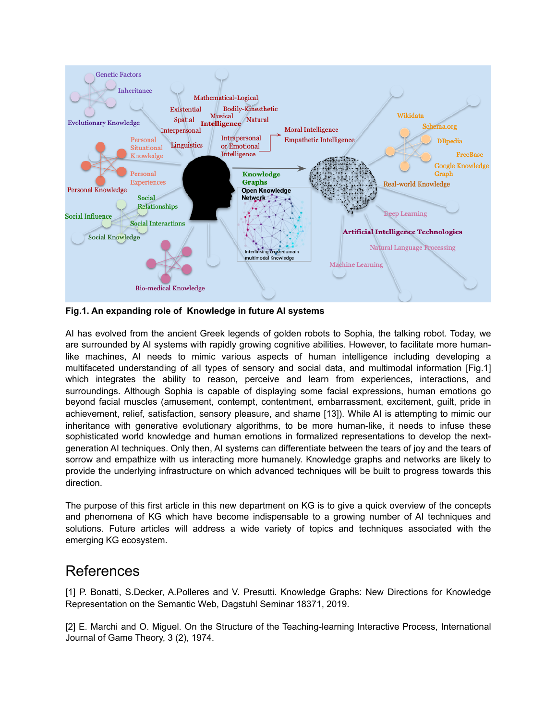

**Fig.1. An expanding role of Knowledge in future AI systems** 

AI has evolved from the ancient Greek legends of golden robots to Sophia, the talking robot. Today, we are surrounded by AI systems with rapidly growing cognitive abilities. However, to facilitate more humanlike machines, AI needs to mimic various aspects of human intelligence including developing a multifaceted understanding of all types of sensory and social data, and multimodal information [Fig.1] which integrates the ability to reason, perceive and learn from experiences, interactions, and surroundings. Although Sophia is capable of displaying some facial expressions, human emotions go beyond facial muscles (amusement, contempt, contentment, embarrassment, excitement, guilt, pride in achievement, relief, satisfaction, sensory pleasure, and shame [13]). While AI is attempting to mimic our inheritance with generative evolutionary algorithms, to be more human-like, it needs to infuse these sophisticated world knowledge and human emotions in formalized representations to develop the nextgeneration AI techniques. Only then, AI systems can differentiate between the tears of joy and the tears of sorrow and empathize with us interacting more humanely. Knowledge graphs and networks are likely to provide the underlying infrastructure on which advanced techniques will be built to progress towards this direction.

The purpose of this first article in this new department on KG is to give a quick overview of the concepts and phenomena of KG which have become indispensable to a growing number of AI techniques and solutions. Future articles will address a wide variety of topics and techniques associated with the emerging KG ecosystem.

# References

[1] P. Bonatti, S.Decker, A.Polleres and V. Presutti. Knowledge Graphs: New Directions for Knowledge Representation on the Semantic Web, Dagstuhl Seminar 18371, 2019.

[2] E. Marchi and O. Miguel. On the Structure of the Teaching-learning Interactive Process, International Journal of Game Theory, 3 (2), 1974.